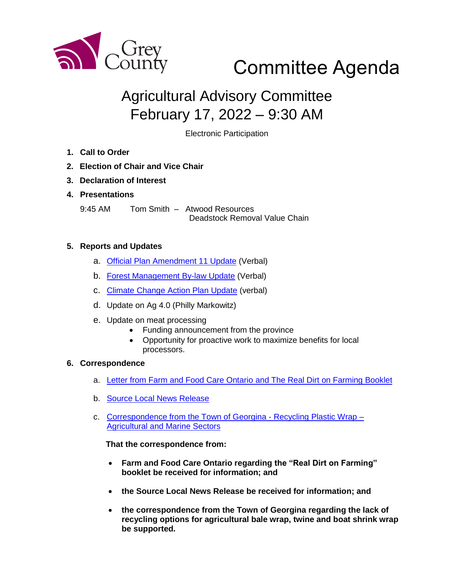

# Committee Agenda

# Agricultural Advisory Committee February 17, 2022 – 9:30 AM

Electronic Participation

- **1. Call to Order**
- **2. Election of Chair and Vice Chair**
- **3. Declaration of Interest**
- **4. Presentations**

9:45 AM Tom Smith – Atwood Resources Deadstock Removal Value Chain

## **5. Reports and Updates**

- a. [Official Plan Amendment 11 Update](https://www.grey.ca/programs-initiatives/proposed-county-official-plan-amendment-11) (Verbal)
- b. [Forest Management By-law Update](https://www.grey.ca/programs-initiatives/forest-management-law-update) (Verbal)
- c. [Climate Change Action Plan Update](https://www.grey.ca/programs-initiatives/climate-change-action-plan) (verbal)
- d. Update on Ag 4.0 (Philly Markowitz)
- e. Update on meat processing
	- Funding announcement from the province
	- Opportunity for proactive work to maximize benefits for local processors.

## **6. Correspondence**

- a. [Letter from Farm and Food Care Ontario](https://www.realdirtonfarming.ca/flipbooks/english-2020/mobile/index.html) and The Real Dirt on Farming Booklet
- b. [Source Local News Release](https://docs.grey.ca/share/public?nodeRef=workspace://SpacesStore/5f541b5e-9f7f-45c7-a899-40044cf9318c)
- c. [Correspondence from the Town of Georgina -](https://docs.grey.ca/share/public?nodeRef=workspace://SpacesStore/36fd1d09-8f5b-4c9b-885d-6e40512178c0) Recycling Plastic Wrap [Agricultural and](https://docs.grey.ca/share/public?nodeRef=workspace://SpacesStore/36fd1d09-8f5b-4c9b-885d-6e40512178c0) Marine Sectors

## **That the correspondence from:**

- **Farm and Food Care Ontario regarding the "Real Dirt on Farming" booklet be received for information; and**
- **the Source Local News Release be received for information; and**
- **the correspondence from the Town of Georgina regarding the lack of recycling options for agricultural bale wrap, twine and boat shrink wrap be supported.**